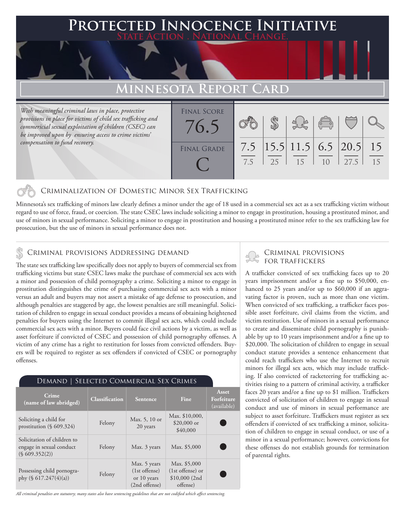### **PTED INNOCENCE INITIATIVE State Action . National Change.**

# **Minnesota Report Card**

*With meaningful criminal laws in place, protective provisions in place for victims of child sex trafficking and commericial sexual exploitation of children (CSEC) can be improved upon by ensuring access to crime victims' compensation to fund recovery.*

| <b>FINAL SCORE</b> |     |      |                                        |                |      |    |
|--------------------|-----|------|----------------------------------------|----------------|------|----|
| 76.5               |     |      |                                        | 3860           |      |    |
|                    |     |      |                                        |                |      |    |
| <b>FINAL GRADE</b> | 7.5 |      | $\left  15.5 \right  11.5$ 6.5 20.5 15 |                |      |    |
|                    | 7.5 | - 25 | 15                                     | 1 <sub>0</sub> | 27.5 | 15 |
|                    |     |      |                                        |                |      |    |

### Criminalization of Domestic Minor Sex Trafficking

Minnesota's sex trafficking of minors law clearly defines a minor under the age of 18 used in a commercial sex act as a sex trafficking victim without regard to use of force, fraud, or coercion. The state CSEC laws include soliciting a minor to engage in prostitution, housing a prostituted minor, and use of minors in sexual performance. Soliciting a minor to engage in prostitution and housing a prostituted minor refer to the sex trafficking law for prosecution, but the use of minors in sexual performance does not.

### Criminal provisions Addressing demand

The state sex trafficking law specifically does not apply to buyers of commercial sex from trafficking victims but state CSEC laws make the purchase of commercial sex acts with a minor and possession of child pornography a crime. Soliciting a minor to engage in prostitution distinguishes the crime of purchasing commercial sex acts with a minor versus an adult and buyers may not assert a mistake of age defense to prosecution, and although penalties are staggered by age, the lowest penalties are still meaningful. Solicitation of children to engage in sexual conduct provides a means of obtaining heightened penalties for buyers using the Internet to commit illegal sex acts, which could include commercial sex acts with a minor. Buyers could face civil actions by a victim, as well as asset forfeiture if convicted of CSEC and possession of child pornography offenses. A victim of any crime has a right to restitution for losses from convicted offenders. Buyers will be required to register as sex offenders if convicted of CSEC or pornography offenses.

| DEMAND   SELECTED COMMERCIAL SEX CRIMES                                   |                       |                                                                 |                                                               |                                    |  |  |  |
|---------------------------------------------------------------------------|-----------------------|-----------------------------------------------------------------|---------------------------------------------------------------|------------------------------------|--|--|--|
| Crime<br>(name of law abridged)                                           | <b>Classification</b> | <b>Sentence</b>                                                 | Fine                                                          | Asset<br>Forfeiture<br>(available) |  |  |  |
| Soliciting a child for<br>prostitution $(\S 609.324)$                     | Felony                | Max. 5, 10 or<br>20 years                                       | Max. \$10,000,<br>$$20,000$ or<br>\$40,000                    |                                    |  |  |  |
| Solicitation of children to<br>engage in sexual conduct<br>(S 609.352(2)) | Felony                | Max. 3 years                                                    | Max. \$5,000                                                  |                                    |  |  |  |
| Possessing child pornogra-<br>phy $(\S 617.247(4)(a))$                    | Felony                | Max. 5 years<br>$(1st$ offense)<br>or 10 years<br>(2nd offense) | Max. \$5,000<br>(1st offense) or<br>\$10,000 (2nd<br>offense) |                                    |  |  |  |

*All criminal penalties are statutory; many states also have sentencing guidelines that are not codified which affect sentencing.* 

# Criminal provisions

A trafficker convicted of sex trafficking faces up to 20 years imprisonment and/or a fine up to \$50,000, enhanced to 25 years and/or up to \$60,000 if an aggravating factor is proven, such as more than one victim. When convicted of sex trafficking, a trafficker faces possible asset forfeiture, civil claims from the victim, and victim restitution. Use of minors in a sexual performance to create and disseminate child pornography is punishable by up to 10 years imprisonment and/or a fine up to \$20,000. The solicitation of children to engage in sexual conduct statute provides a sentence enhancement that could reach traffickers who use the Internet to recruit minors for illegal sex acts, which may include trafficking. If also convicted of racketeering for trafficking activities rising to a pattern of criminal activity, a trafficker faces 20 years and/or a fine up to \$1 million. Traffickers convicted of solicitation of children to engage in sexual conduct and use of minors in sexual performance are subject to asset forfeiture. Traffickers must register as sex offenders if convicted of sex trafficking a minor, solicitation of children to engage in sexual conduct, or use of a minor in a sexual performance; however, convictions for these offenses do not establish grounds for termination of parental rights.